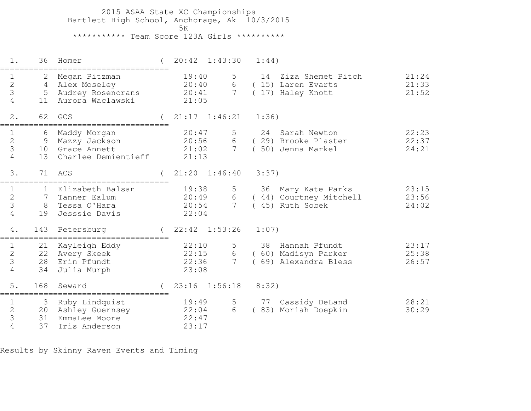2015 ASAA State XC Championships Bartlett High School, Anchorage, Ak 10/3/2015ta di kacamatan ing Kabupatèn Kabupatèn Kabupatèn Kabupatèn Kabupatèn Kabupatèn Kabupatèn Kabupatèn K \*\*\*\*\*\*\*\*\*\*\* Team Score 123A Girls \*\*\*\*\*\*\*\*\*\*

| $1$ .                                                | 36                           | Homer                                                                    | 20:42                            | 1:43:30                   | 1:44)                                                                                        |
|------------------------------------------------------|------------------------------|--------------------------------------------------------------------------|----------------------------------|---------------------------|----------------------------------------------------------------------------------------------|
| $\mathbf{2}$<br>3<br>4                               | 2<br>5 <sup>5</sup><br>11    | Megan Pitzman<br>4 Alex Moseley<br>Audrey Rosencrans<br>Aurora Waclawski | 19:40<br>20:40<br>20:41<br>21:05 | 5<br>6<br>$7\phantom{.0}$ | 14 Ziza Shemet Pitch<br>21:24<br>21:33<br>(15) Laren Evarts<br>(17) Haley Knott<br>21:52     |
| 2.                                                   | 62                           | GCS                                                                      | $21:17$ $1:46:21$                |                           | 1:36)                                                                                        |
| 1<br>$\overline{2}$<br>3<br>4                        | 6<br>9<br>13                 | Maddy Morgan<br>Mazzy Jackson<br>10 Grace Annett<br>Charlee Demientieff  | 20:47<br>20:56<br>21:02<br>21:13 | 6<br>$7\phantom{.0}$      | 22:23<br>24 Sarah Newton<br>22:37<br>(29) Brooke Plaster<br>24:21<br>(50) Jenna Markel       |
| 3.                                                   | 71                           | ACS                                                                      | 21:20                            | 1:46:40                   | 3:37                                                                                         |
| 1<br>$\overline{2}$<br>3<br>4                        | $\mathbf{1}$<br>7<br>8<br>19 | Elizabeth Balsan<br>Tanner Ealum<br>Tessa O'Hara<br>Jesssie Davis        | 19:38<br>20:49<br>20:54<br>22:04 | 5<br>6<br>$7\overline{ }$ | 23:15<br>36 Mary Kate Parks<br>23:56<br>(44) Courtney Mitchell<br>(45) Ruth Sobek<br>24:02   |
| 4.                                                   | 143                          | Petersburg                                                               | $22:42$ $1:53:26$                |                           | 1:07)                                                                                        |
| $\mathbf 1$<br>$\overline{2}$<br>3<br>$\overline{4}$ | 21<br>28<br>34               | Kayleigh Eddy<br>22 Avery Skeek<br>Erin Pfundt<br>Julia Murph            | 22:10<br>22:15<br>22:36<br>23:08 | 5<br>6<br>$7\phantom{.0}$ | 38<br>Hannah Pfundt<br>23:17<br>(60) Madisyn Parker<br>25:38<br>69) Alexandra Bless<br>26:57 |
| 5.                                                   | 168                          | Seward                                                                   | 23:16                            | 1:56:18                   | 8:32)                                                                                        |
| 1<br>$\mathbf{2}$<br>3<br>4                          | 3<br>31<br>37                | Ruby Lindquist<br>20 Ashley Guernsey<br>EmmaLee Moore<br>Iris Anderson   | 19:49<br>22:04<br>22:47<br>23:17 | 5<br>6                    | 77<br>Cassidy DeLand<br>28:21<br>(83) Moriah Doepkin<br>30:29                                |

Results by Skinny Raven Events and Timing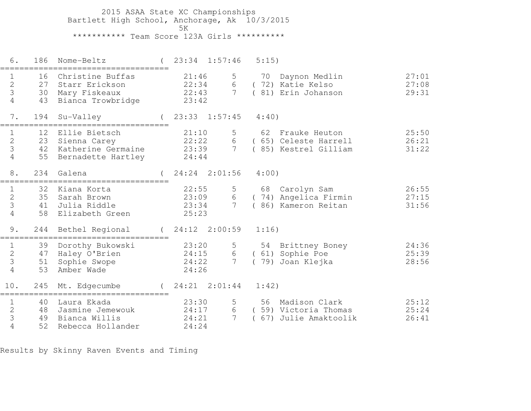2015 ASAA State XC Championships Bartlett High School, Anchorage, Ak 10/3/2015ta di kacamatan ing Kabupatèn Kabupatèn Kabupatèn Kabupatèn Kabupatèn Kabupatèn Kabupatèn Kabupatèn K \*\*\*\*\*\*\*\*\*\*\* Team Score 123A Girls \*\*\*\*\*\*\*\*\*\*

 6. 186 Nome-Beltz ( 23:34 1:57:46 5:15)=================================== 1 16 Christine Buffas 21:46 5 70 Daynon Medlin 27:01 2 27 Starr Erickson 22:34 6 ( 72) Katie Kelso 27:08 3 30 Mary Fiskeaux 22:43 7 ( 81) Erin Johanson 29:31 4 43 Bianca Trowbridge 23:42 7. 194 Su-Valley ( 23:33 1:57:45 4:40)=================================== 1 12 Ellie Bietsch 21:10 5 62 Frauke Heuton 25:50 2 23 Sienna Carey 22:22 6 ( 65) Celeste Harrell 26:21 3 42 Katherine Germaine 23:39 7 ( 85) Kestrel Gilliam 31:22 4 55 Bernadette Hartley 24:44 8. 234 Galena ( 24:24 2:01:56 4:00)=================================== 1 32 Kiana Korta 22:55 5 68 Carolyn Sam 26:55 2 35 Sarah Brown 23:09 6 ( 74) Angelica Firmin 27:15 3 41 Julia Riddle 23:34 7 ( 86) Kameron Reitan 31:56 4 58 Elizabeth Green 25:23 9. 244 Bethel Regional ( 24:12 2:00:59 1:16)=================================== 1 39 Dorothy Bukowski 23:20 5 54 Brittney Boney 24:36 2 47 Haley O'Brien 24:15 6 ( 61) Sophie Poe 25:39 3 51 Sophie Swope 24:22 7 ( 79) Joan Klejka 28:56 4 53 Amber Wade 24:26 10. 245 Mt. Edgecumbe ( 24:21 2:01:44 1:42)=================================== 1 40 Laura Ekada 23:30 5 56 Madison Clark 25:122 48 Jasmine Jemewouk 24:17 6 ( 59) Victoria Thomas 25:24 3 49 Bianca Willis 24:21 7 ( 67) Julie Amaktoolik 26:41 4 52 Rebecca Hollander 24:24

Results by Skinny Raven Events and Timing